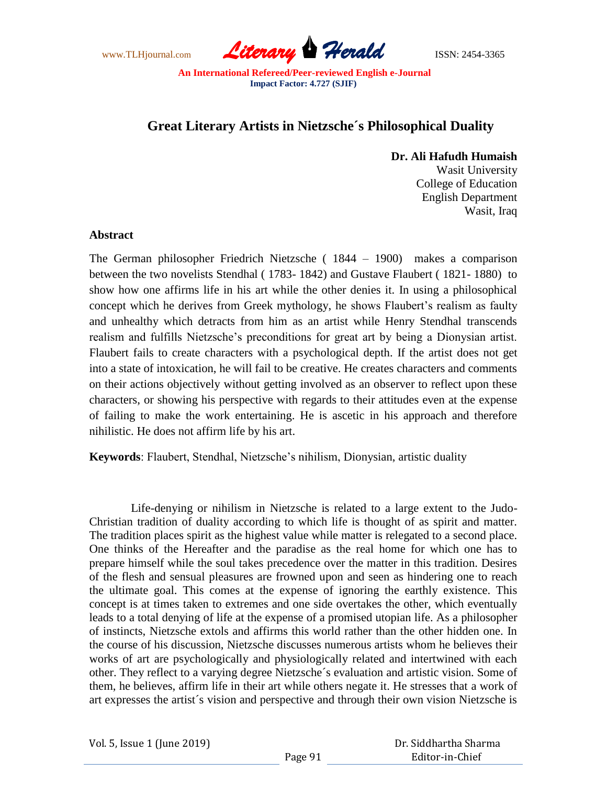

# **Great Literary Artists in Nietzsche´s Philosophical Duality**

### **Dr. Ali Hafudh Humaish**

Wasit University College of Education English Department Wasit, Iraq

### **Abstract**

The German philosopher Friedrich Nietzsche ( 1844 – 1900) makes a comparison between the two novelists Stendhal ( 1783- 1842) and Gustave Flaubert ( 1821- 1880) to show how one affirms life in his art while the other denies it. In using a philosophical concept which he derives from Greek mythology, he shows Flaubert's realism as faulty and unhealthy which detracts from him as an artist while Henry Stendhal transcends realism and fulfills Nietzsche's preconditions for great art by being a Dionysian artist. Flaubert fails to create characters with a psychological depth. If the artist does not get into a state of intoxication, he will fail to be creative. He creates characters and comments on their actions objectively without getting involved as an observer to reflect upon these characters, or showing his perspective with regards to their attitudes even at the expense of failing to make the work entertaining. He is ascetic in his approach and therefore nihilistic. He does not affirm life by his art.

**Keywords**: Flaubert, Stendhal, Nietzsche's nihilism, Dionysian, artistic duality

 Life-denying or nihilism in Nietzsche is related to a large extent to the Judo-Christian tradition of duality according to which life is thought of as spirit and matter. The tradition places spirit as the highest value while matter is relegated to a second place. One thinks of the Hereafter and the paradise as the real home for which one has to prepare himself while the soul takes precedence over the matter in this tradition. Desires of the flesh and sensual pleasures are frowned upon and seen as hindering one to reach the ultimate goal. This comes at the expense of ignoring the earthly existence. This concept is at times taken to extremes and one side overtakes the other, which eventually leads to a total denying of life at the expense of a promised utopian life. As a philosopher of instincts, Nietzsche extols and affirms this world rather than the other hidden one. In the course of his discussion, Nietzsche discusses numerous artists whom he believes their works of art are psychologically and physiologically related and intertwined with each other. They reflect to a varying degree Nietzsche´s evaluation and artistic vision. Some of them, he believes, affirm life in their art while others negate it. He stresses that a work of art expresses the artist´s vision and perspective and through their own vision Nietzsche is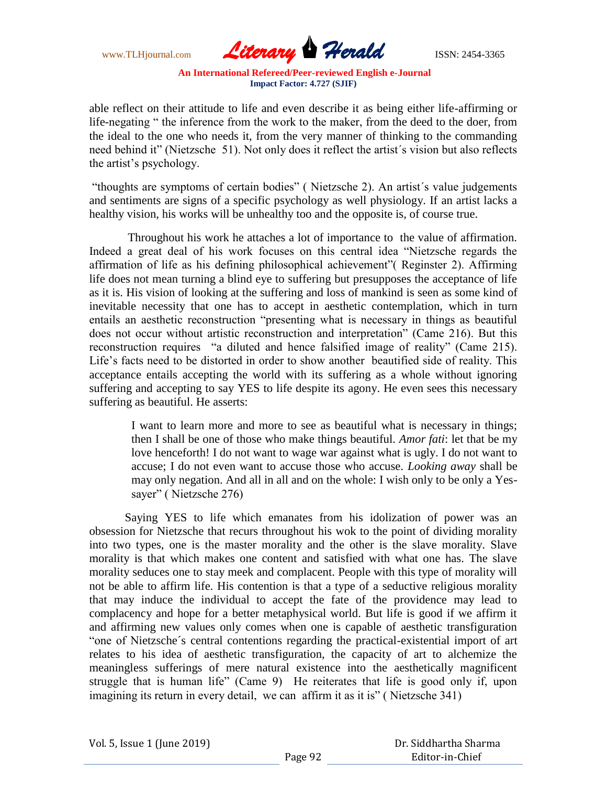www.TLHjournal.com *Literary Herald*ISSN: 2454-3365

able reflect on their attitude to life and even describe it as being either life-affirming or life-negating " the inference from the work to the maker, from the deed to the doer, from the ideal to the one who needs it, from the very manner of thinking to the commanding need behind it" (Nietzsche 51). Not only does it reflect the artist's vision but also reflects the artist's psychology.

"thoughts are symptoms of certain bodies" (Nietzsche 2). An artist's value judgements and sentiments are signs of a specific psychology as well physiology. If an artist lacks a healthy vision, his works will be unhealthy too and the opposite is, of course true.

 Throughout his work he attaches a lot of importance to the value of affirmation. Indeed a great deal of his work focuses on this central idea "Nietzsche regards the affirmation of life as his defining philosophical achievement" (Reginster 2). Affirming life does not mean turning a blind eye to suffering but presupposes the acceptance of life as it is. His vision of looking at the suffering and loss of mankind is seen as some kind of inevitable necessity that one has to accept in aesthetic contemplation, which in turn entails an aesthetic reconstruction "presenting what is necessary in things as beautiful does not occur without artistic reconstruction and interpretation" (Came 216). But this reconstruction requires "a diluted and hence falsified image of reality" (Came 215). Life's facts need to be distorted in order to show another beautified side of reality. This acceptance entails accepting the world with its suffering as a whole without ignoring suffering and accepting to say YES to life despite its agony. He even sees this necessary suffering as beautiful. He asserts:

I want to learn more and more to see as beautiful what is necessary in things; then I shall be one of those who make things beautiful. *Amor fati*: let that be my love henceforth! I do not want to wage war against what is ugly. I do not want to accuse; I do not even want to accuse those who accuse. *Looking away* shall be may only negation. And all in all and on the whole: I wish only to be only a Yessayer" (Nietzsche 276)

 Saying YES to life which emanates from his idolization of power was an obsession for Nietzsche that recurs throughout his wok to the point of dividing morality into two types, one is the master morality and the other is the slave morality. Slave morality is that which makes one content and satisfied with what one has. The slave morality seduces one to stay meek and complacent. People with this type of morality will not be able to affirm life. His contention is that a type of a seductive religious morality that may induce the individual to accept the fate of the providence may lead to complacency and hope for a better metaphysical world. But life is good if we affirm it and affirming new values only comes when one is capable of aesthetic transfiguration "one of Nietzsche's central contentions regarding the practical-existential import of art relates to his idea of aesthetic transfiguration, the capacity of art to alchemize the meaningless sufferings of mere natural existence into the aesthetically magnificent struggle that is human life" (Came 9) He reiterates that life is good only if, upon imagining its return in every detail, we can affirm it as it is" (Nietzsche 341)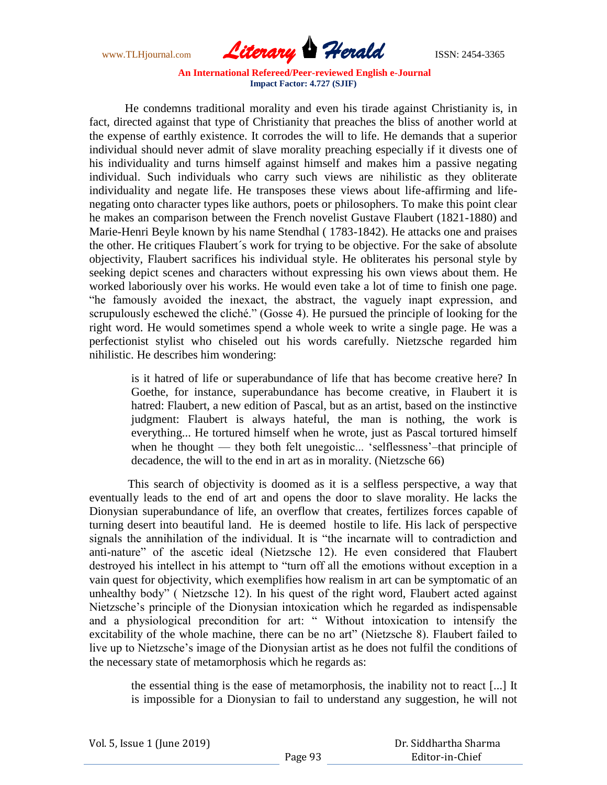www.TLHjournal.com *Literary Herald*ISSN: 2454-3365

 He condemns traditional morality and even his tirade against Christianity is, in fact, directed against that type of Christianity that preaches the bliss of another world at the expense of earthly existence. It corrodes the will to life. He demands that a superior individual should never admit of slave morality preaching especially if it divests one of his individuality and turns himself against himself and makes him a passive negating individual. Such individuals who carry such views are nihilistic as they obliterate individuality and negate life. He transposes these views about life-affirming and lifenegating onto character types like authors, poets or philosophers. To make this point clear he makes an comparison between the French novelist Gustave Flaubert (1821-1880) and Marie-Henri Beyle known by his name Stendhal ( 1783-1842). He attacks one and praises the other. He critiques Flaubert´s work for trying to be objective. For the sake of absolute objectivity, Flaubert sacrifices his individual style. He obliterates his personal style by seeking depict scenes and characters without expressing his own views about them. He worked laboriously over his works. He would even take a lot of time to finish one page. ―he famously avoided the inexact, the abstract, the vaguely inapt expression, and scrupulously eschewed the cliché." (Gosse 4). He pursued the principle of looking for the right word. He would sometimes spend a whole week to write a single page. He was a perfectionist stylist who chiseled out his words carefully. Nietzsche regarded him nihilistic. He describes him wondering:

is it hatred of life or superabundance of life that has become creative here? In Goethe, for instance, superabundance has become creative, in Flaubert it is hatred: Flaubert, a new edition of Pascal, but as an artist, based on the instinctive judgment: Flaubert is always hateful, the man is nothing, the work is everything... He tortured himself when he wrote, just as Pascal tortured himself when he thought — they both felt unegoistic... 'selflessness'-that principle of decadence, the will to the end in art as in morality. (Nietzsche 66)

 This search of objectivity is doomed as it is a selfless perspective, a way that eventually leads to the end of art and opens the door to slave morality. He lacks the Dionysian superabundance of life, an overflow that creates, fertilizes forces capable of turning desert into beautiful land. He is deemed hostile to life. His lack of perspective signals the annihilation of the individual. It is "the incarnate will to contradiction and anti-nature" of the ascetic ideal (Nietzsche 12). He even considered that Flaubert destroyed his intellect in his attempt to "turn off all the emotions without exception in a vain quest for objectivity, which exemplifies how realism in art can be symptomatic of an unhealthy body" (Nietzsche 12). In his quest of the right word, Flaubert acted against Nietzsche's principle of the Dionysian intoxication which he regarded as indispensable and a physiological precondition for art: "Without intoxication to intensify the excitability of the whole machine, there can be no art" (Nietzsche 8). Flaubert failed to live up to Nietzsche's image of the Dionysian artist as he does not fulfil the conditions of the necessary state of metamorphosis which he regards as:

the essential thing is the ease of metamorphosis, the inability not to react [...] It is impossible for a Dionysian to fail to understand any suggestion, he will not

| Vol. 5, Issue 1 (June 2019) |  |
|-----------------------------|--|
|-----------------------------|--|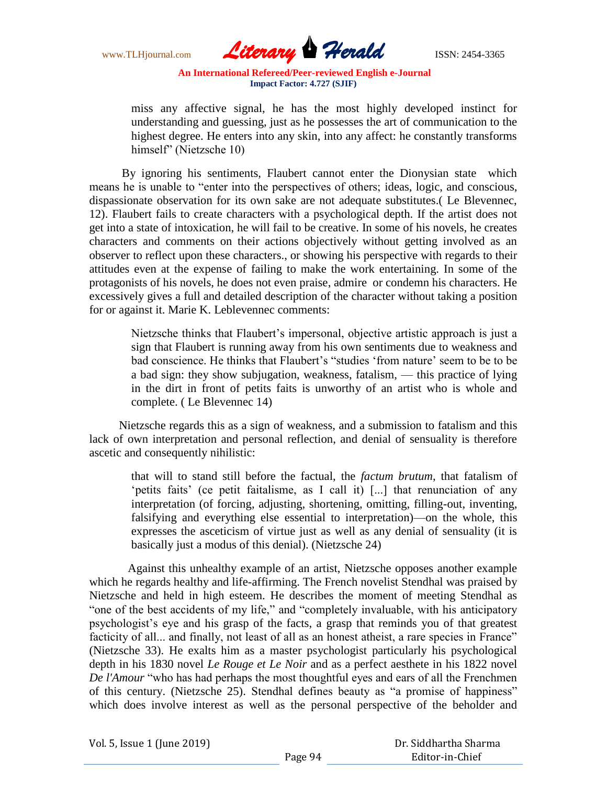www.TLHjournal.com *Literary Herald*ISSN: 2454-3365

miss any affective signal, he has the most highly developed instinct for understanding and guessing, just as he possesses the art of communication to the highest degree. He enters into any skin, into any affect: he constantly transforms himself" (Nietzsche 10)

 By ignoring his sentiments, Flaubert cannot enter the Dionysian state which means he is unable to "enter into the perspectives of others; ideas, logic, and conscious, dispassionate observation for its own sake are not adequate substitutes.( Le Blevennec, 12). Flaubert fails to create characters with a psychological depth. If the artist does not get into a state of intoxication, he will fail to be creative. In some of his novels, he creates characters and comments on their actions objectively without getting involved as an observer to reflect upon these characters., or showing his perspective with regards to their attitudes even at the expense of failing to make the work entertaining. In some of the protagonists of his novels, he does not even praise, admire or condemn his characters. He excessively gives a full and detailed description of the character without taking a position for or against it. Marie K. Leblevennec comments:

Nietzsche thinks that Flaubert's impersonal, objective artistic approach is just a sign that Flaubert is running away from his own sentiments due to weakness and bad conscience. He thinks that Flaubert's "studies 'from nature' seem to be to be a bad sign: they show subjugation, weakness, fatalism, — this practice of lying in the dirt in front of petits faits is unworthy of an artist who is whole and complete. ( Le Blevennec 14)

 Nietzsche regards this as a sign of weakness, and a submission to fatalism and this lack of own interpretation and personal reflection, and denial of sensuality is therefore ascetic and consequently nihilistic:

that will to stand still before the factual, the *factum brutum*, that fatalism of 'petits faits' (ce petit faitalisme, as I call it) [...] that renunciation of any interpretation (of forcing, adjusting, shortening, omitting, filling-out, inventing, falsifying and everything else essential to interpretation)—on the whole, this expresses the asceticism of virtue just as well as any denial of sensuality (it is basically just a modus of this denial). (Nietzsche 24)

 Against this unhealthy example of an artist, Nietzsche opposes another example which he regards healthy and life-affirming. The French novelist Stendhal was praised by Nietzsche and held in high esteem. He describes the moment of meeting Stendhal as "one of the best accidents of my life," and "completely invaluable, with his anticipatory psychologist's eye and his grasp of the facts, a grasp that reminds you of that greatest facticity of all... and finally, not least of all as an honest atheist, a rare species in France" (Nietzsche 33). He exalts him as a master psychologist particularly his psychological depth in his 1830 novel *Le Rouge et Le Noir* and as a perfect aesthete in his 1822 novel *De l'Amour* "who has had perhaps the most thoughtful eyes and ears of all the Frenchmen of this century. (Nietzsche 25). Stendhal defines beauty as "a promise of happiness" which does involve interest as well as the personal perspective of the beholder and

| Vol. 5, Issue 1 (June 2019) |  |
|-----------------------------|--|
|-----------------------------|--|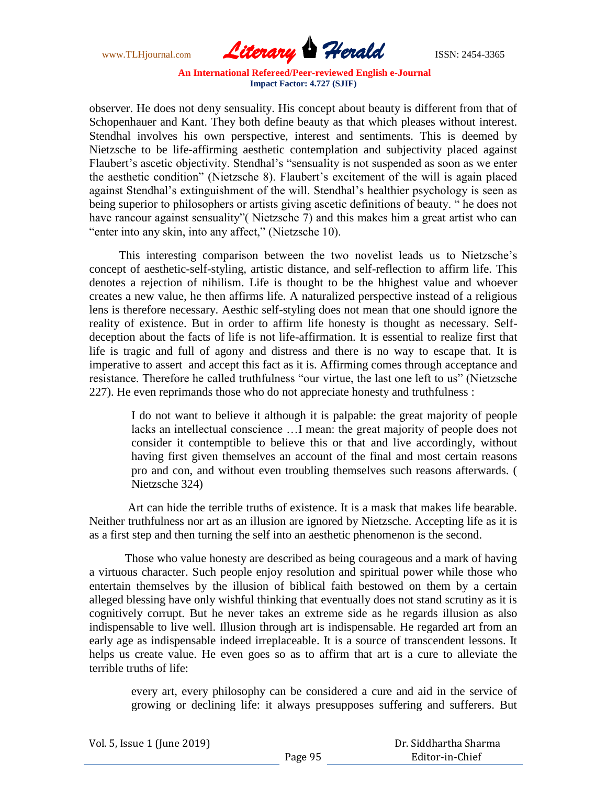www.TLHjournal.com *Literary Herald*ISSN: 2454-3365

observer. He does not deny sensuality. His concept about beauty is different from that of Schopenhauer and Kant. They both define beauty as that which pleases without interest. Stendhal involves his own perspective, interest and sentiments. This is deemed by Nietzsche to be life-affirming aesthetic contemplation and subjectivity placed against Flaubert's ascetic objectivity. Stendhal's "sensuality is not suspended as soon as we enter the aesthetic condition" (Nietzsche 8). Flaubert's excitement of the will is again placed against Stendhal's extinguishment of the will. Stendhal's healthier psychology is seen as being superior to philosophers or artists giving ascetic definitions of beauty. " he does not have rancour against sensuality" (Nietzsche 7) and this makes him a great artist who can "enter into any skin, into any affect," (Nietzsche 10).

 This interesting comparison between the two novelist leads us to Nietzsche's concept of aesthetic-self-styling, artistic distance, and self-reflection to affirm life. This denotes a rejection of nihilism. Life is thought to be the hhighest value and whoever creates a new value, he then affirms life. A naturalized perspective instead of a religious lens is therefore necessary. Aesthic self-styling does not mean that one should ignore the reality of existence. But in order to affirm life honesty is thought as necessary. Selfdeception about the facts of life is not life-affirmation. It is essential to realize first that life is tragic and full of agony and distress and there is no way to escape that. It is imperative to assert and accept this fact as it is. Affirming comes through acceptance and resistance. Therefore he called truthfulness "our virtue, the last one left to us" (Nietzsche 227). He even reprimands those who do not appreciate honesty and truthfulness :

I do not want to believe it although it is palpable: the great majority of people lacks an intellectual conscience …I mean: the great majority of people does not consider it contemptible to believe this or that and live accordingly, without having first given themselves an account of the final and most certain reasons pro and con, and without even troubling themselves such reasons afterwards. ( Nietzsche 324)

 Art can hide the terrible truths of existence. It is a mask that makes life bearable. Neither truthfulness nor art as an illusion are ignored by Nietzsche. Accepting life as it is as a first step and then turning the self into an aesthetic phenomenon is the second.

 Those who value honesty are described as being courageous and a mark of having a virtuous character. Such people enjoy resolution and spiritual power while those who entertain themselves by the illusion of biblical faith bestowed on them by a certain alleged blessing have only wishful thinking that eventually does not stand scrutiny as it is cognitively corrupt. But he never takes an extreme side as he regards illusion as also indispensable to live well. Illusion through art is indispensable. He regarded art from an early age as indispensable indeed irreplaceable. It is a source of transcendent lessons. It helps us create value. He even goes so as to affirm that art is a cure to alleviate the terrible truths of life:

every art, every philosophy can be considered a cure and aid in the service of growing or declining life: it always presupposes suffering and sufferers. But

| Vol. 5, Issue 1 (June 2019) |         | Dr. Siddhartha Sharma |
|-----------------------------|---------|-----------------------|
|                             | Page 95 | Editor-in-Chief       |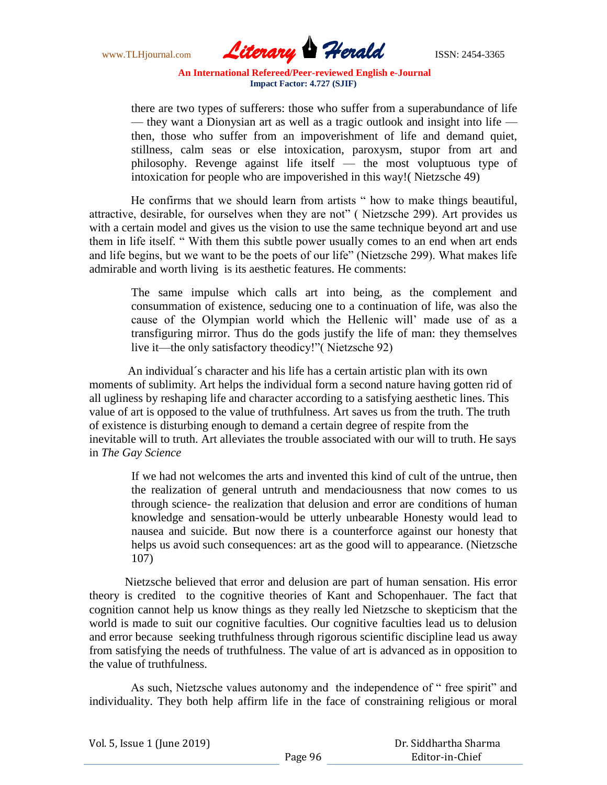www.TLHjournal.com *Literary Herald*ISSN: 2454-3365

there are two types of sufferers: those who suffer from a superabundance of life — they want a Dionysian art as well as a tragic outlook and insight into life then, those who suffer from an impoverishment of life and demand quiet, stillness, calm seas or else intoxication, paroxysm, stupor from art and philosophy. Revenge against life itself — the most voluptuous type of intoxication for people who are impoverished in this way!( Nietzsche 49)

He confirms that we should learn from artists " how to make things beautiful, attractive, desirable, for ourselves when they are not" (Nietzsche 299). Art provides us with a certain model and gives us the vision to use the same technique beyond art and use them in life itself. "With them this subtle power usually comes to an end when art ends and life begins, but we want to be the poets of our life" (Nietzsche 299). What makes life admirable and worth living is its aesthetic features. He comments:

The same impulse which calls art into being, as the complement and consummation of existence, seducing one to a continuation of life, was also the cause of the Olympian world which the Hellenic will' made use of as a transfiguring mirror. Thus do the gods justify the life of man: they themselves live it—the only satisfactory theodicy!" (Nietzsche 92)

 An individual´s character and his life has a certain artistic plan with its own moments of sublimity. Art helps the individual form a second nature having gotten rid of all ugliness by reshaping life and character according to a satisfying aesthetic lines. This value of art is opposed to the value of truthfulness. Art saves us from the truth. The truth of existence is disturbing enough to demand a certain degree of respite from the inevitable will to truth. Art alleviates the trouble associated with our will to truth. He says in *The Gay Science*

If we had not welcomes the arts and invented this kind of cult of the untrue, then the realization of general untruth and mendaciousness that now comes to us through science- the realization that delusion and error are conditions of human knowledge and sensation-would be utterly unbearable Honesty would lead to nausea and suicide. But now there is a counterforce against our honesty that helps us avoid such consequences: art as the good will to appearance. (Nietzsche 107)

 Nietzsche believed that error and delusion are part of human sensation. His error theory is credited to the cognitive theories of Kant and Schopenhauer. The fact that cognition cannot help us know things as they really led Nietzsche to skepticism that the world is made to suit our cognitive faculties. Our cognitive faculties lead us to delusion and error because seeking truthfulness through rigorous scientific discipline lead us away from satisfying the needs of truthfulness. The value of art is advanced as in opposition to the value of truthfulness.

As such, Nietzsche values autonomy and the independence of "free spirit" and individuality. They both help affirm life in the face of constraining religious or moral

| Vol. 5, Issue 1 (June 2019) |         | Dr. Siddhartha Sharma |
|-----------------------------|---------|-----------------------|
|                             | Page 96 | Editor-in-Chief       |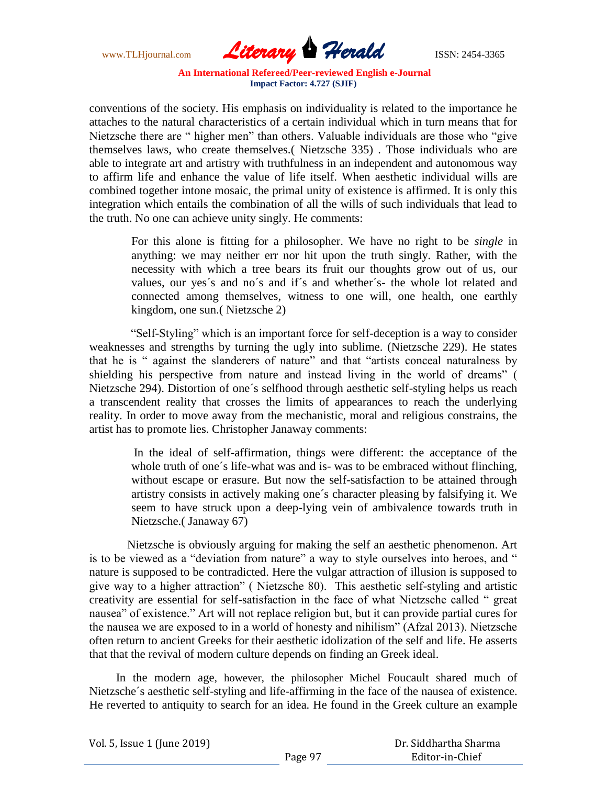www.TLHjournal.com *Literary Herald*ISSN: 2454-3365

conventions of the society. His emphasis on individuality is related to the importance he attaches to the natural characteristics of a certain individual which in turn means that for Nietzsche there are " higher men" than others. Valuable individuals are those who "give themselves laws, who create themselves.( Nietzsche 335) . Those individuals who are able to integrate art and artistry with truthfulness in an independent and autonomous way to affirm life and enhance the value of life itself. When aesthetic individual wills are combined together intone mosaic, the primal unity of existence is affirmed. It is only this integration which entails the combination of all the wills of such individuals that lead to the truth. No one can achieve unity singly. He comments:

For this alone is fitting for a philosopher. We have no right to be *single* in anything: we may neither err nor hit upon the truth singly. Rather, with the necessity with which a tree bears its fruit our thoughts grow out of us, our values, our yes´s and no´s and if´s and whether´s- the whole lot related and connected among themselves, witness to one will, one health, one earthly kingdom, one sun.( Nietzsche 2)

"Self-Styling" which is an important force for self-deception is a way to consider weaknesses and strengths by turning the ugly into sublime. (Nietzsche 229). He states that he is " against the slanderers of nature" and that "artists conceal naturalness by shielding his perspective from nature and instead living in the world of dreams" ( Nietzsche 294). Distortion of one´s selfhood through aesthetic self-styling helps us reach a transcendent reality that crosses the limits of appearances to reach the underlying reality. In order to move away from the mechanistic, moral and religious constrains, the artist has to promote lies. Christopher Janaway comments:

 In the ideal of self-affirmation, things were different: the acceptance of the whole truth of one's life-what was and is- was to be embraced without flinching, without escape or erasure. But now the self-satisfaction to be attained through artistry consists in actively making one´s character pleasing by falsifying it. We seem to have struck upon a deep-lying vein of ambivalence towards truth in Nietzsche.( Janaway 67)

 Nietzsche is obviously arguing for making the self an aesthetic phenomenon. Art is to be viewed as a "deviation from nature" a way to style ourselves into heroes, and " nature is supposed to be contradicted. Here the vulgar attraction of illusion is supposed to give way to a higher attraction" ( Nietzsche 80). This aesthetic self-styling and artistic creativity are essential for self-satisfaction in the face of what Nietzsche called "great nausea" of existence." Art will not replace religion but, but it can provide partial cures for the nausea we are exposed to in a world of honesty and nihilism" (Afzal 2013). Nietzsche often return to ancient Greeks for their aesthetic idolization of the self and life. He asserts that that the revival of modern culture depends on finding an Greek ideal.

 In the modern age, however, the philosopher Michel Foucault shared much of Nietzsche´s aesthetic self-styling and life-affirming in the face of the nausea of existence. He reverted to antiquity to search for an idea. He found in the Greek culture an example

| Vol. 5, Issue 1 (June 2019) |  |
|-----------------------------|--|
|-----------------------------|--|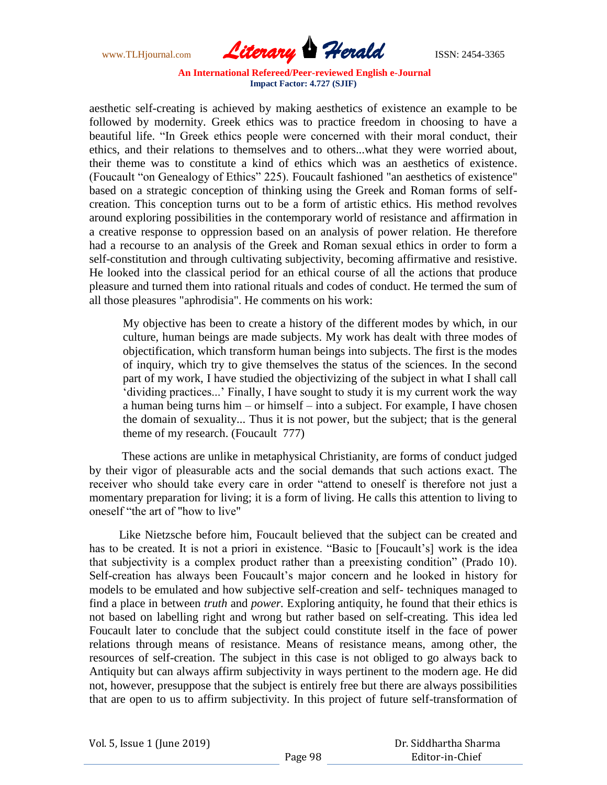www.TLHjournal.com *Literary Herald*ISSN: 2454-3365

aesthetic self-creating is achieved by making aesthetics of existence an example to be followed by modernity. Greek ethics was to practice freedom in choosing to have a beautiful life. "In Greek ethics people were concerned with their moral conduct, their ethics, and their relations to themselves and to others...what they were worried about, their theme was to constitute a kind of ethics which was an aesthetics of existence. (Foucault "on Genealogy of Ethics" 225). Foucault fashioned "an aesthetics of existence" based on a strategic conception of thinking using the Greek and Roman forms of selfcreation. This conception turns out to be a form of artistic ethics. His method revolves around exploring possibilities in the contemporary world of resistance and affirmation in a creative response to oppression based on an analysis of power relation. He therefore had a recourse to an analysis of the Greek and Roman sexual ethics in order to form a self-constitution and through cultivating subjectivity, becoming affirmative and resistive. He looked into the classical period for an ethical course of all the actions that produce pleasure and turned them into rational rituals and codes of conduct. He termed the sum of all those pleasures "aphrodisia". He comments on his work:

My objective has been to create a history of the different modes by which, in our culture, human beings are made subjects. My work has dealt with three modes of objectification, which transform human beings into subjects. The first is the modes of inquiry, which try to give themselves the status of the sciences. In the second part of my work, I have studied the objectivizing of the subject in what I shall call ‗dividing practices...' Finally, I have sought to study it is my current work the way a human being turns him – or himself – into a subject. For example, I have chosen the domain of sexuality... Thus it is not power, but the subject; that is the general theme of my research. (Foucault 777)

 These actions are unlike in metaphysical Christianity, are forms of conduct judged by their vigor of pleasurable acts and the social demands that such actions exact. The receiver who should take every care in order "attend to oneself is therefore not just a momentary preparation for living; it is a form of living. He calls this attention to living to oneself "the art of "how to live"

 Like Nietzsche before him, Foucault believed that the subject can be created and has to be created. It is not a priori in existence. "Basic to [Foucault's] work is the idea that subjectivity is a complex product rather than a preexisting condition" (Prado 10). Self-creation has always been Foucault's major concern and he looked in history for models to be emulated and how subjective self-creation and self- techniques managed to find a place in between *truth* and *power.* Exploring antiquity, he found that their ethics is not based on labelling right and wrong but rather based on self-creating. This idea led Foucault later to conclude that the subject could constitute itself in the face of power relations through means of resistance. Means of resistance means, among other, the resources of self-creation. The subject in this case is not obliged to go always back to Antiquity but can always affirm subjectivity in ways pertinent to the modern age. He did not, however, presuppose that the subject is entirely free but there are always possibilities that are open to us to affirm subjectivity. In this project of future self-transformation of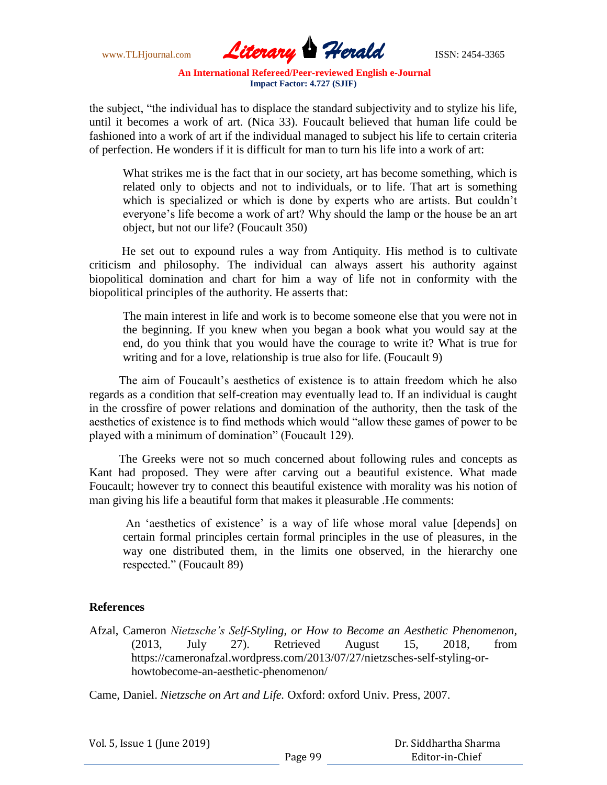

the subject, "the individual has to displace the standard subjectivity and to stylize his life, until it becomes a work of art. (Nica 33). Foucault believed that human life could be fashioned into a work of art if the individual managed to subject his life to certain criteria of perfection. He wonders if it is difficult for man to turn his life into a work of art:

What strikes me is the fact that in our society, art has become something, which is related only to objects and not to individuals, or to life. That art is something which is specialized or which is done by experts who are artists. But couldn't everyone's life become a work of art? Why should the lamp or the house be an art object, but not our life? (Foucault 350)

 He set out to expound rules a way from Antiquity. His method is to cultivate criticism and philosophy. The individual can always assert his authority against biopolitical domination and chart for him a way of life not in conformity with the biopolitical principles of the authority. He asserts that:

The main interest in life and work is to become someone else that you were not in the beginning. If you knew when you began a book what you would say at the end, do you think that you would have the courage to write it? What is true for writing and for a love, relationship is true also for life. (Foucault 9)

 The aim of Foucault's aesthetics of existence is to attain freedom which he also regards as a condition that self-creation may eventually lead to. If an individual is caught in the crossfire of power relations and domination of the authority, then the task of the aesthetics of existence is to find methods which would "allow these games of power to be played with a minimum of domination" (Foucault 129).

 The Greeks were not so much concerned about following rules and concepts as Kant had proposed. They were after carving out a beautiful existence. What made Foucault; however try to connect this beautiful existence with morality was his notion of man giving his life a beautiful form that makes it pleasurable .He comments:

An 'aesthetics of existence' is a way of life whose moral value [depends] on certain formal principles certain formal principles in the use of pleasures, in the way one distributed them, in the limits one observed, in the hierarchy one respected." (Foucault 89)

## **References**

Afzal, Cameron *Nietzsche's Self-Styling, or How to Become an Aesthetic Phenomenon,*  (2013, July 27). Retrieved August 15, 2018, from https://cameronafzal.wordpress.com/2013/07/27/nietzsches-self-styling-orhowtobecome-an-aesthetic-phenomenon/

Came, Daniel. *Nietzsche on Art and Life.* Oxford: oxford Univ. Press, 2007.

| Vol. 5, Issue 1 (June 2019) |         | Dr. Siddhartha Sharma |
|-----------------------------|---------|-----------------------|
|                             | Page 99 | Editor-in-Chief       |